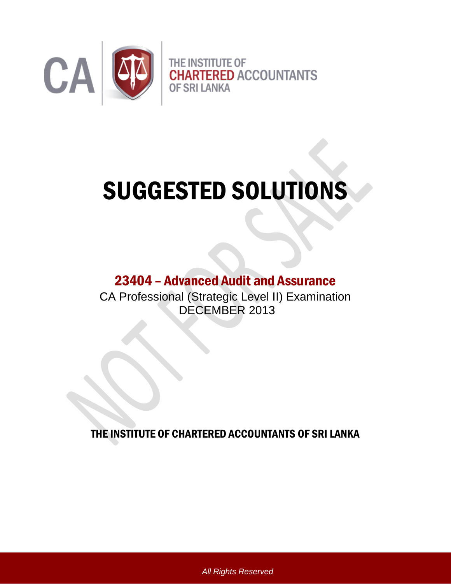

# SUGGESTED SOLUTIONS

# 23404 – Advanced Audit and Assurance

CA Professional (Strategic Level II) Examination DECEMBER 2013

THE INSTITUTE OF CHARTERED ACCOUNTANTS OF SRI LANKA

*All Rights Reserved*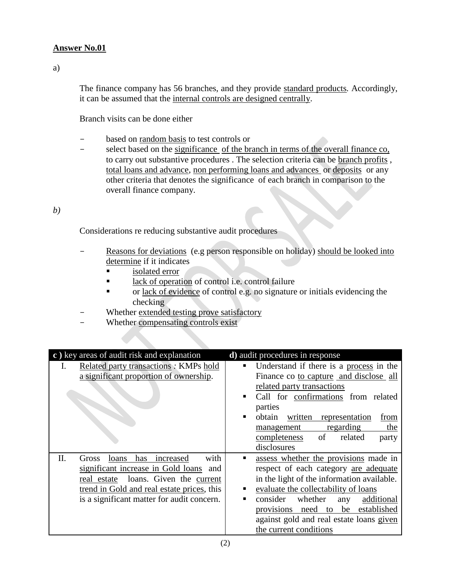# **Answer No.01**

a)

The finance company has 56 branches, and they provide standard products*.* Accordingly, it can be assumed that the internal controls are designed centrally.

Branch visits can be done either

- based on random basis to test controls or
- select based on the significance of the branch in terms of the overall finance co, to carry out substantive procedures . The selection criteria can be branch profits , total loans and advance, non performing loans and advances or deposits or any other criteria that denotes the significance of each branch in comparison to the overall finance company.

*b)*

Considerations re reducing substantive audit procedures

- Reasons for deviations (e.g person responsible on holiday) should be looked into determine if it indicates
	- **isolated error**
	- lack of operation of control i.e. control failure
	- or <u>lack of evidence</u> of control e.g. no signature or initials evidencing the checking
- Whether extended testing prove satisfactory
- Whether compensating controls exist

| c) key areas of audit risk and explanation                                                                                                                                                                                        | d) audit procedures in response                                                                                                                                                                                                                                                                                                       |
|-----------------------------------------------------------------------------------------------------------------------------------------------------------------------------------------------------------------------------------|---------------------------------------------------------------------------------------------------------------------------------------------------------------------------------------------------------------------------------------------------------------------------------------------------------------------------------------|
| Related party transactions: KMPs hold<br>a significant proportion of ownership.                                                                                                                                                   | Understand if there is a process in the<br>٠<br>Finance co to capture and disclose all<br>related party transactions<br>Call for confirmations from related<br>parties<br>obtain<br>written<br>representation<br>from<br>п<br>regarding<br>the<br>management<br>of<br>related<br>completeness<br>party<br>disclosures                 |
| with<br>Π.<br>increased<br>has<br>Gross<br>loans<br>significant increase in Gold loans and<br>loans. Given the current<br>real estate<br>trend in Gold and real estate prices, this<br>is a significant matter for audit concern. | assess whether the provisions made in<br>respect of each category are adequate<br>in the light of the information available.<br>evaluate the collectability of loans<br>٠<br>consider<br>whether<br>additional<br>▪<br>any<br>provisions need to be established<br>against gold and real estate loans given<br>the current conditions |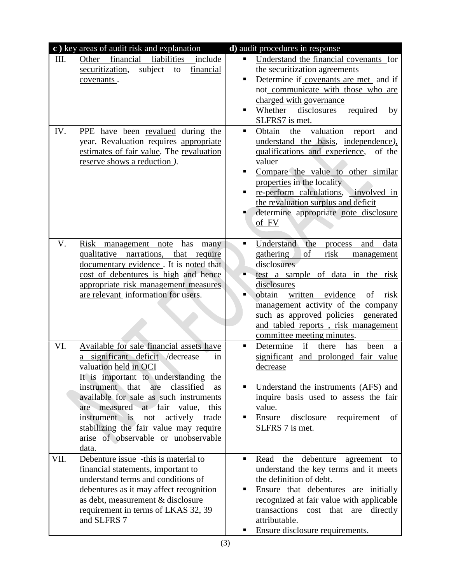| c) key areas of audit risk and explanation                                                                                                                                                                                                                                                                                                                                                                                              | d) audit procedures in response                                                                                                                                                                                                                                                                                                                                                                                                                                          |
|-----------------------------------------------------------------------------------------------------------------------------------------------------------------------------------------------------------------------------------------------------------------------------------------------------------------------------------------------------------------------------------------------------------------------------------------|--------------------------------------------------------------------------------------------------------------------------------------------------------------------------------------------------------------------------------------------------------------------------------------------------------------------------------------------------------------------------------------------------------------------------------------------------------------------------|
| liabilities<br>financial<br>Other<br>Ш.<br>include<br>subject<br>financial<br>securitization,<br>to<br>covenants.<br>IV.<br>PPE have been revalued during the<br>year. Revaluation requires appropriate<br>estimates of fair value. The revaluation<br>reserve shows a reduction).                                                                                                                                                      | Understand the financial covenants for<br>$\blacksquare$<br>the securitization agreements<br>Determine if covenants are met and if<br>٠<br>not communicate with those who are<br>charged with governance<br>Whether<br>disclosures<br>required<br>٠<br>by<br>SLFRS7 is met.<br>Obtain<br>valuation<br>the<br>report<br>٠<br>and<br>understand the basis, independence),<br>qualifications and experience,<br>of the<br>valuer<br>Compare the value to other similar<br>٠ |
|                                                                                                                                                                                                                                                                                                                                                                                                                                         | properties in the locality<br>re-perform calculations,<br>involved in<br>٠<br>the revaluation surplus and deficit<br>determine appropriate note disclosure<br>of FV                                                                                                                                                                                                                                                                                                      |
| V.<br>Risk management note<br>has<br>many<br>qualitative narrations, that require<br>documentary evidence. It is noted that<br>cost of debentures is high and hence<br>appropriate risk management measures<br>are relevant information for users.                                                                                                                                                                                      | Understand<br>the<br>$\blacksquare$<br>and<br>process<br>data<br>of<br>gathering<br>risk<br>management<br>disclosures<br>test a sample of data in the risk<br>disclosures<br>obtain<br>п<br>written<br>evidence<br>of<br>risk<br>management activity of the company<br>such as approved policies generated<br>and tabled reports, risk management<br>committee meeting minutes.                                                                                          |
| Available for sale financial assets have<br>VI.<br>significant deficit<br>/decrease<br>in<br>valuation held in OCI<br>It is important to understanding the<br>instrument that<br>classified<br>are<br><b>as</b><br>available for sale as such instruments<br>are measured at fair value,<br>this<br>instrument is<br>not<br>actively<br>trade<br>stabilizing the fair value may require<br>arise of observable or unobservable<br>data. | Determine<br>if<br>there<br>has<br>been<br>٠<br>a<br>significant<br>and prolonged fair value<br>decrease<br>Understand the instruments (AFS) and<br>inquire basis used to assess the fair<br>value.<br>Ensure<br>disclosure<br>requirement<br>٠<br>of<br>SLFRS 7 is met.                                                                                                                                                                                                 |
| Debenture issue -this is material to<br>VII.<br>financial statements, important to<br>understand terms and conditions of<br>debentures as it may affect recognition<br>as debt, measurement & disclosure<br>requirement in terms of LKAS 32, 39<br>and SLFRS 7                                                                                                                                                                          | Read<br>debenture<br>the<br>٠<br>agreement to<br>understand the key terms and it meets<br>the definition of debt.<br>Ensure that debentures are initially<br>п<br>recognized at fair value with applicable<br>transactions cost that are directly<br>attributable.<br>Ensure disclosure requirements.<br>٠                                                                                                                                                               |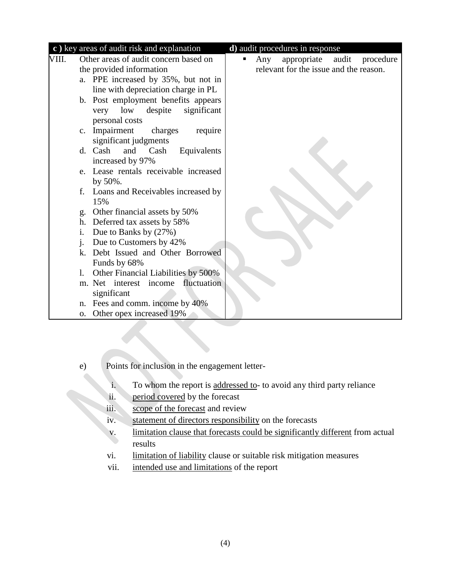|       | c) key areas of audit risk and explanation                | d) audit procedures in response        |
|-------|-----------------------------------------------------------|----------------------------------------|
| VIII. | Other areas of audit concern based on                     | appropriate audit<br>procedure<br>Any  |
|       | the provided information                                  | relevant for the issue and the reason. |
|       | a. PPE increased by 35%, but not in                       |                                        |
|       | line with depreciation charge in PL                       |                                        |
|       | b. Post employment benefits appears                       |                                        |
|       | significant<br>low<br>despite<br>very                     |                                        |
|       | personal costs                                            |                                        |
|       | c. Impairment<br>charges<br>require                       |                                        |
|       | significant judgments                                     |                                        |
|       | d. Cash<br>and<br>Cash<br>Equivalents                     |                                        |
|       | increased by 97%<br>e. Lease rentals receivable increased |                                        |
|       | by 50%.                                                   |                                        |
|       | f. Loans and Receivables increased by                     |                                        |
|       | 15%                                                       |                                        |
|       | g. Other financial assets by 50%                          |                                        |
|       | h. Deferred tax assets by 58%                             |                                        |
|       | Due to Banks by (27%)<br>i.                               |                                        |
|       | Due to Customers by 42%<br>$\mathbf{i}$ .                 |                                        |
|       | k. Debt Issued and Other Borrowed                         |                                        |
|       | Funds by 68%                                              |                                        |
|       | Other Financial Liabilities by 500%<br>1.                 |                                        |
|       | m. Net interest income fluctuation                        |                                        |
|       | significant                                               |                                        |
|       | n. Fees and comm. income by 40%                           |                                        |
|       | Other opex increased 19%<br>0.                            |                                        |

- e) Points for inclusion in the engagement letter
	- i. To whom the report is addressed to- to avoid any third party reliance
	-
- ii. period covered by the forecast<br>iii scope of the forecast and review scope of the forecast and review
	- iv. statement of directors responsibility on the forecasts
	- v. limitation clause that forecasts could be significantly different from actual results
	- vi. limitation of liability clause or suitable risk mitigation measures
	- vii. intended use and limitations of the report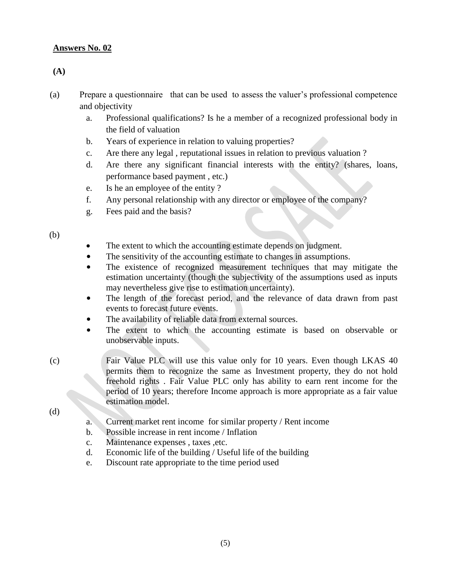# **Answers No. 02**

#### **(A)**

- (a) Prepare a questionnaire that can be used to assess the valuer's professional competence and objectivity
	- a. Professional qualifications? Is he a member of a recognized professional body in the field of valuation
	- b. Years of experience in relation to valuing properties?
	- c. Are there any legal , reputational issues in relation to previous valuation ?
	- d. Are there any significant financial interests with the entity? (shares, loans, performance based payment , etc.)
	- e. Is he an employee of the entity ?
	- f. Any personal relationship with any director or employee of the company?
	- g. Fees paid and the basis?

(b)

- The extent to which the accounting estimate depends on judgment.
- The sensitivity of the accounting estimate to changes in assumptions.
- The existence of recognized measurement techniques that may mitigate the estimation uncertainty (though the subjectivity of the assumptions used as inputs may nevertheless give rise to estimation uncertainty).
- The length of the forecast period, and the relevance of data drawn from past events to forecast future events.
- The availability of reliable data from external sources.
- The extent to which the accounting estimate is based on observable or unobservable inputs.
- (c) Fair Value PLC will use this value only for 10 years. Even though LKAS 40 permits them to recognize the same as Investment property, they do not hold freehold rights . Fair Value PLC only has ability to earn rent income for the period of 10 years; therefore Income approach is more appropriate as a fair value estimation model.

(d)

- a. Current market rent income for similar property / Rent income
- b. Possible increase in rent income / Inflation
- c. Maintenance expenses , taxes ,etc.
- d. Economic life of the building / Useful life of the building
- e. Discount rate appropriate to the time period used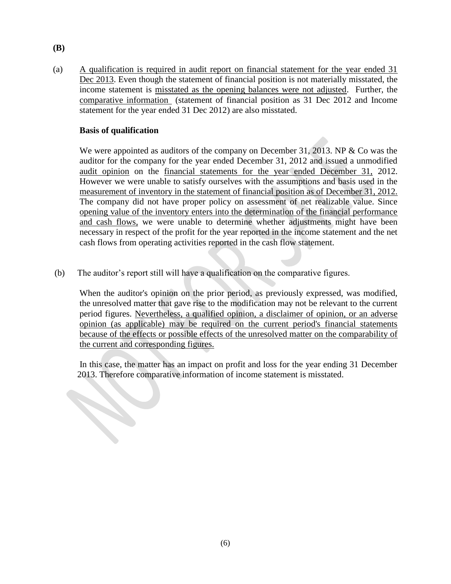(a) A qualification is required in audit report on financial statement for the year ended 31 Dec 2013. Even though the statement of financial position is not materially misstated, the income statement is misstated as the opening balances were not adjusted. Further, the comparative information (statement of financial position as 31 Dec 2012 and Income statement for the year ended 31 Dec 2012) are also misstated.

#### **Basis of qualification**

We were appointed as auditors of the company on December 31, 2013. NP  $&$  Co was the auditor for the company for the year ended December 31, 2012 and issued a unmodified audit opinion on the financial statements for the year ended December 31, 2012. However we were unable to satisfy ourselves with the assumptions and basis used in the measurement of inventory in the statement of financial position as of December 31, 2012. The company did not have proper policy on assessment of net realizable value. Since opening value of the inventory enters into the determination of the financial performance and cash flows, we were unable to determine whether adjustments might have been necessary in respect of the profit for the year reported in the income statement and the net cash flows from operating activities reported in the cash flow statement.

(b) The auditor's report still will have a qualification on the comparative figures.

When the auditor's opinion on the prior period, as previously expressed, was modified, the unresolved matter that gave rise to the modification may not be relevant to the current period figures. Nevertheless, a qualified opinion, a disclaimer of opinion, or an adverse opinion (as applicable) may be required on the current period's financial statements because of the effects or possible effects of the unresolved matter on the comparability of the current and corresponding figures.

In this case, the matter has an impact on profit and loss for the year ending 31 December 2013. Therefore comparative information of income statement is misstated. 2013. Therefore comparative information of income statement is misstated.

**(B)**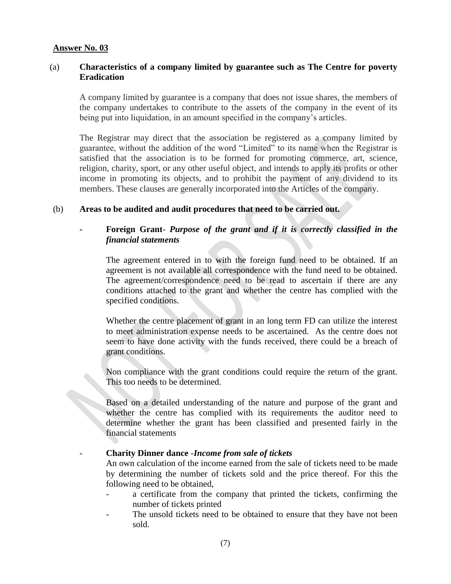#### **Answer No. 03**

# (a) **Characteristics of a company limited by guarantee such as The Centre for poverty Eradication**

A company limited by guarantee is a company that does not issue shares, the members of the company undertakes to contribute to the assets of the company in the event of its being put into liquidation, in an amount specified in the company's articles.

The Registrar may direct that the association be registered as a company limited by guarantee, without the addition of the word "Limited" to its name when the Registrar is satisfied that the association is to be formed for promoting commerce, art, science, religion, charity, sport, or any other useful object, and intends to apply its profits or other income in promoting its objects, and to prohibit the payment of any dividend to its members. These clauses are generally incorporated into the Articles of the company.

#### (b) **Areas to be audited and audit procedures that need to be carried out.**

# **- Foreign Grant**- *Purpose of the grant and if it is correctly classified in the financial statements*

The agreement entered in to with the foreign fund need to be obtained. If an agreement is not available all correspondence with the fund need to be obtained. The agreement/correspondence need to be read to ascertain if there are any conditions attached to the grant and whether the centre has complied with the specified conditions.

Whether the centre placement of grant in an long term FD can utilize the interest to meet administration expense needs to be ascertained. As the centre does not seem to have done activity with the funds received, there could be a breach of grant conditions.

Non compliance with the grant conditions could require the return of the grant. This too needs to be determined.

Based on a detailed understanding of the nature and purpose of the grant and whether the centre has complied with its requirements the auditor need to determine whether the grant has been classified and presented fairly in the financial statements

- **Charity Dinner dance -***Income from sale of tickets*

An own calculation of the income earned from the sale of tickets need to be made by determining the number of tickets sold and the price thereof. For this the following need to be obtained,

- a certificate from the company that printed the tickets, confirming the number of tickets printed
- The unsold tickets need to be obtained to ensure that they have not been sold.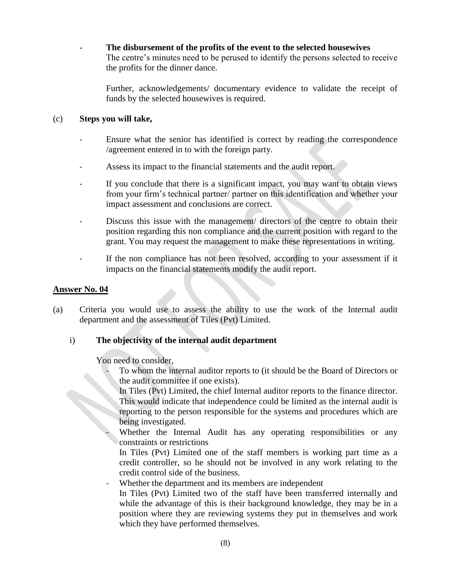The disbursement of the profits of the event to the selected housewives The centre's minutes need to be perused to identify the persons selected to receive the profits for the dinner dance.

Further, acknowledgements/ documentary evidence to validate the receipt of funds by the selected housewives is required.

# (c) **Steps you will take,**

- Ensure what the senior has identified is correct by reading the correspondence /agreement entered in to with the foreign party.
- Assess its impact to the financial statements and the audit report.
- If you conclude that there is a significant impact, you may want to obtain views from your firm's technical partner/ partner on this identification and whether your impact assessment and conclusions are correct.
- Discuss this issue with the management/ directors of the centre to obtain their position regarding this non compliance and the current position with regard to the grant. You may request the management to make these representations in writing.
- If the non compliance has not been resolved, according to your assessment if it impacts on the financial statements modify the audit report.

# **Answer No. 04**

(a) Criteria you would use to assess the ability to use the work of the Internal audit department and the assessment of Tiles (Pvt) Limited.

# i) **The objectivity of the internal audit department**

You need to consider,

- To whom the internal auditor reports to (it should be the Board of Directors or the audit committee if one exists).
- In Tiles (Pvt) Limited, the chief Internal auditor reports to the finance director. This would indicate that independence could be limited as the internal audit is reporting to the person responsible for the systems and procedures which are being investigated.
- Whether the Internal Audit has any operating responsibilities or any constraints or restrictions

In Tiles (Pvt) Limited one of the staff members is working part time as a credit controller, so he should not be involved in any work relating to the credit control side of the business.

Whether the department and its members are independent

In Tiles (Pvt) Limited two of the staff have been transferred internally and while the advantage of this is their background knowledge, they may be in a position where they are reviewing systems they put in themselves and work which they have performed themselves.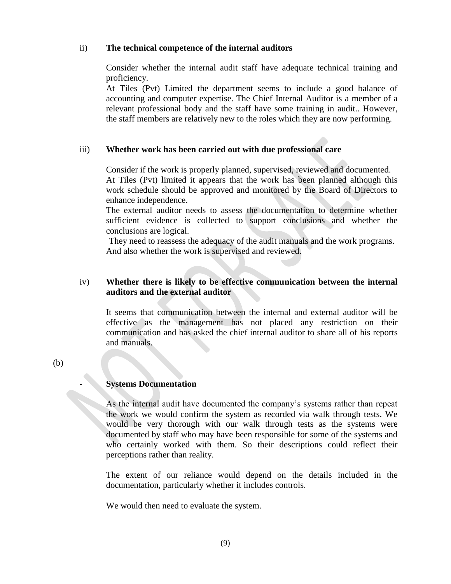#### ii) **The technical competence of the internal auditors**

Consider whether the internal audit staff have adequate technical training and proficiency.

At Tiles (Pvt) Limited the department seems to include a good balance of accounting and computer expertise. The Chief Internal Auditor is a member of a relevant professional body and the staff have some training in audit.. However, the staff members are relatively new to the roles which they are now performing.

### iii) **Whether work has been carried out with due professional care**

Consider if the work is properly planned, supervised, reviewed and documented. At Tiles (Pvt) limited it appears that the work has been planned although this work schedule should be approved and monitored by the Board of Directors to enhance independence.

The external auditor needs to assess the documentation to determine whether sufficient evidence is collected to support conclusions and whether the conclusions are logical.

They need to reassess the adequacy of the audit manuals and the work programs. And also whether the work is supervised and reviewed.

# iv) **Whether there is likely to be effective communication between the internal auditors and the external auditor**

It seems that communication between the internal and external auditor will be effective as the management has not placed any restriction on their communication and has asked the chief internal auditor to share all of his reports and manuals.

(b)

#### - **Systems Documentation**

As the internal audit have documented the company's systems rather than repeat the work we would confirm the system as recorded via walk through tests. We would be very thorough with our walk through tests as the systems were documented by staff who may have been responsible for some of the systems and who certainly worked with them. So their descriptions could reflect their perceptions rather than reality.

The extent of our reliance would depend on the details included in the documentation, particularly whether it includes controls.

We would then need to evaluate the system.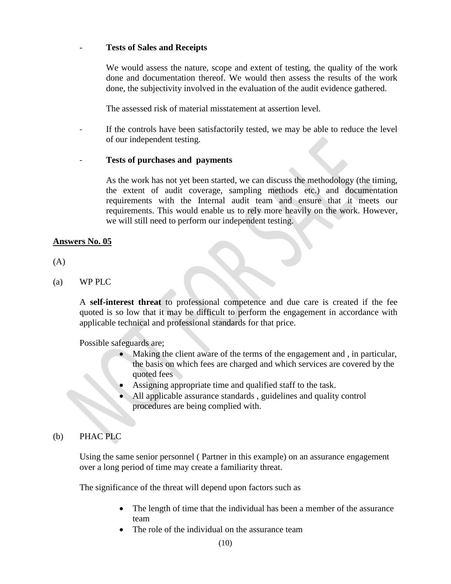#### - **Tests of Sales and Receipts**

We would assess the nature, scope and extent of testing, the quality of the work done and documentation thereof. We would then assess the results of the work done, the subjectivity involved in the evaluation of the audit evidence gathered.

The assessed risk of material misstatement at assertion level.

If the controls have been satisfactorily tested, we may be able to reduce the level of our independent testing.

#### - **Tests of purchases and payments**

As the work has not yet been started, we can discuss the methodology (the timing, the extent of audit coverage, sampling methods etc.) and documentation requirements with the Internal audit team and ensure that it meets our requirements. This would enable us to rely more heavily on the work. However, we will still need to perform our independent testing.

#### **Answers No. 05**

(A)

(a) WP PLC

A **self-interest threat** to professional competence and due care is created if the fee quoted is so low that it may be difficult to perform the engagement in accordance with applicable technical and professional standards for that price.

Possible safeguards are;

- Making the client aware of the terms of the engagement and , in particular, the basis on which fees are charged and which services are covered by the quoted fees
- Assigning appropriate time and qualified staff to the task.
- All applicable assurance standards , guidelines and quality control procedures are being complied with.

#### (b) PHAC PLC

Using the same senior personnel ( Partner in this example) on an assurance engagement over a long period of time may create a familiarity threat.

The significance of the threat will depend upon factors such as

- The length of time that the individual has been a member of the assurance team
- The role of the individual on the assurance team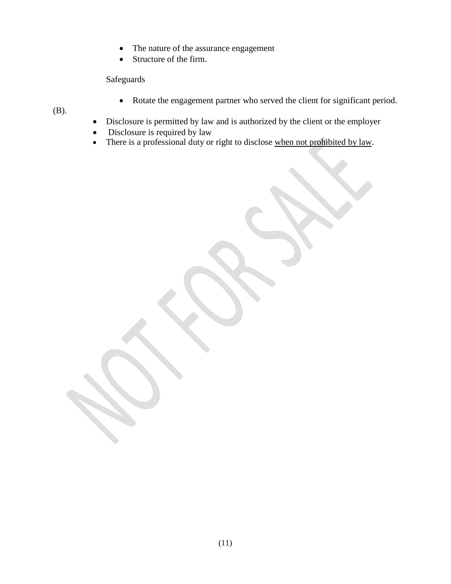- The nature of the assurance engagement
- Structure of the firm.

Safeguards

Rotate the engagement partner who served the client for significant period.

(B).

- Disclosure is permitted by law and is authorized by the client or the employer
- Disclosure is required by law
- There is a professional duty or right to disclose when not prohibited by law.